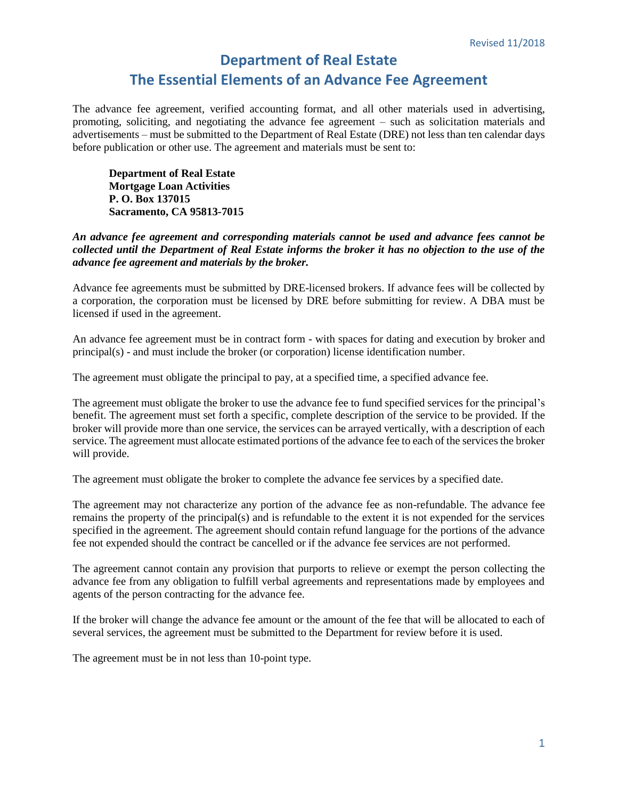## **Department of Real Estate The Essential Elements of an Advance Fee Agreement**

The advance fee agreement, verified accounting format, and all other materials used in advertising, promoting, soliciting, and negotiating the advance fee agreement – such as solicitation materials and advertisements – must be submitted to the Department of Real Estate (DRE) not less than ten calendar days before publication or other use. The agreement and materials must be sent to:

**Department of Real Estate Mortgage Loan Activities P. O. Box 137015 Sacramento, CA 95813-7015**

*An advance fee agreement and corresponding materials cannot be used and advance fees cannot be collected until the Department of Real Estate informs the broker it has no objection to the use of the advance fee agreement and materials by the broker.* 

Advance fee agreements must be submitted by DRE-licensed brokers. If advance fees will be collected by a corporation, the corporation must be licensed by DRE before submitting for review. A DBA must be licensed if used in the agreement.

An advance fee agreement must be in contract form - with spaces for dating and execution by broker and principal(s) - and must include the broker (or corporation) license identification number.

The agreement must obligate the principal to pay, at a specified time, a specified advance fee.

The agreement must obligate the broker to use the advance fee to fund specified services for the principal's benefit. The agreement must set forth a specific, complete description of the service to be provided. If the broker will provide more than one service, the services can be arrayed vertically, with a description of each service. The agreement must allocate estimated portions of the advance fee to each of the services the broker will provide.

The agreement must obligate the broker to complete the advance fee services by a specified date.

The agreement may not characterize any portion of the advance fee as non-refundable. The advance fee remains the property of the principal(s) and is refundable to the extent it is not expended for the services specified in the agreement. The agreement should contain refund language for the portions of the advance fee not expended should the contract be cancelled or if the advance fee services are not performed.

The agreement cannot contain any provision that purports to relieve or exempt the person collecting the advance fee from any obligation to fulfill verbal agreements and representations made by employees and agents of the person contracting for the advance fee.

If the broker will change the advance fee amount or the amount of the fee that will be allocated to each of several services, the agreement must be submitted to the Department for review before it is used.

The agreement must be in not less than 10-point type.